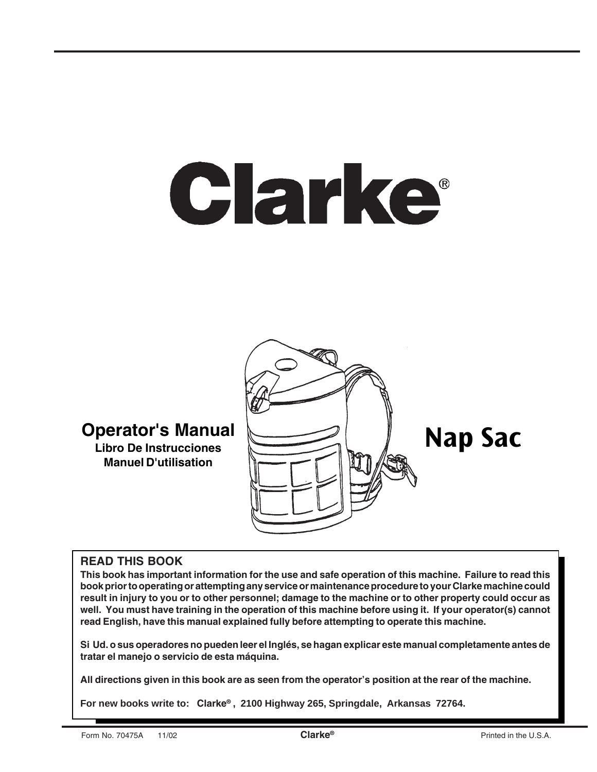# Clarke®



**Libro De Instrucciones Manuel D'utilisation**

### **READ THIS BOOK**

**This book has important information for the use and safe operation of this machine. Failure to read this book prior to operating or attempting any service or maintenance procedure to your Clarke machine could result in injury to you or to other personnel; damage to the machine or to other property could occur as well. You must have training in the operation of this machine before using it. If your operator(s) cannot read English, have this manual explained fully before attempting to operate this machine.**

**Si Ud. o sus operadores no pueden leer el Inglés, se hagan explicar este manual completamente antes de tratar el manejo o servicio de esta máquina.**

**All directions given in this book are as seen from the operator's position at the rear of the machine.**

**For new books write to: Clarke® , 2100 Highway 265, Springdale, Arkansas 72764.**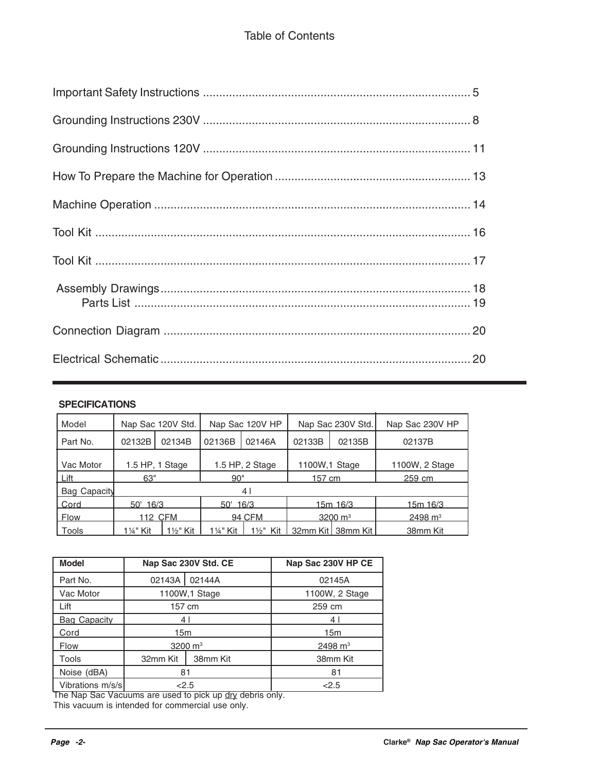#### **SPECIFICATIONS**

| Model        | Nap Sac 120V Std.                   |         | Nap Sac 120V HP |        | Nap Sac 230V Std.   |                               | Nap Sac 230V HP    |
|--------------|-------------------------------------|---------|-----------------|--------|---------------------|-------------------------------|--------------------|
| Part No.     | 02132B                              | 02134B  | 02136B          | 02146A | 02133B              | 02135B                        | 02137B             |
| Vac Motor    | 1.5 HP, 1 Stage<br>1.5 HP, 2 Stage  |         | 1100W.1 Stage   |        | 1100W, 2 Stage      |                               |                    |
| Lift         | 63"                                 |         | 90"             |        | 157 cm              |                               | 259 cm             |
| Bag Capacity | 4                                   |         |                 |        |                     |                               |                    |
| Cord         | 16/3<br>16/3<br>$50^{\circ}$<br>50' |         | 15m 16/3        |        | 15m 16/3            |                               |                    |
| Flow         |                                     | 112 CFM | 94 CFM          |        | 3200 $\mathrm{m}^3$ |                               | $2498 \text{ m}^3$ |
| Tools        | 11⁄4" Kit                           | 1½" Kit | 1¼" Kit         |        |                     | 1½" Kit 1 32mm Kit1 38mm Kit1 | 38mm Kit           |

| <b>Model</b>        |          | Nap Sac 230V Std. CE | Nap Sac 230V HP CE |
|---------------------|----------|----------------------|--------------------|
| Part No.            | 02143A   | 02144A               | 02145A             |
| Vac Motor           |          | 1100W, 1 Stage       | 1100W, 2 Stage     |
| Lift                | 157 cm   |                      | 259 cm             |
| <b>Bag Capacity</b> | 41       |                      | 4                  |
| Cord                | 15m      |                      | 15m                |
| <b>Flow</b>         |          | 3200 $\, \text{m}^3$ | 2498 $m3$          |
| Tools               | 32mm Kit | 38mm Kit             | 38mm Kit           |
| Noise (dBA)         | 81       |                      | 81                 |
| Vibrations m/s/s    | < 2.5    |                      | < 2.5              |

The Nap Sac Vacuums are used to pick up dry debris only.

This vacuum is intended for commercial use only.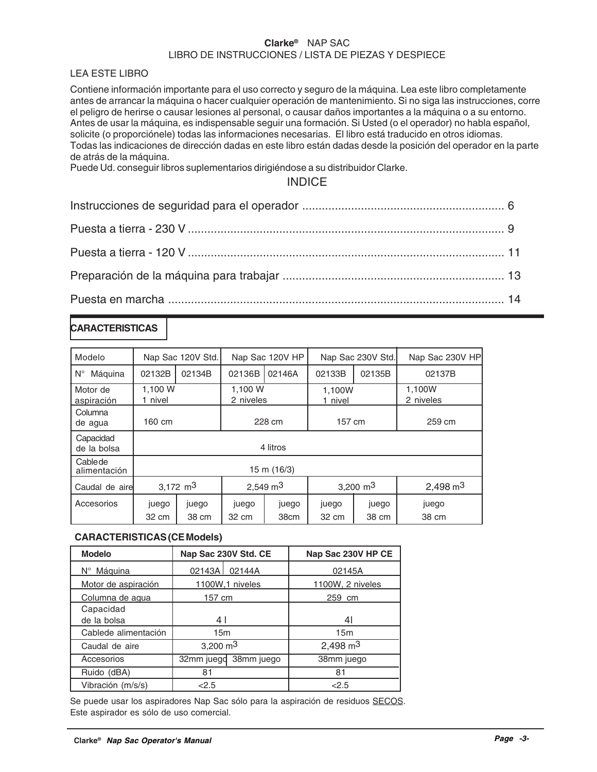#### **Clarke®** NAP SAC LIBRO DE INSTRUCCIONES / LISTA DE PIEZAS Y DESPIECE

#### LEA ESTE LIBRO

Contiene información importante para el uso correcto y seguro de la máquina. Lea este libro completamente antes de arrancar la máquina o hacer cualquier operación de mantenimiento. Si no siga las instrucciones, corre el peligro de herirse o causar lesiones al personal, o causar daños importantes a la máquina o a su entorno. Antes de usar la máquina, es indispensable seguir una formación. Si Usted (o el operador) no habla español, solicite (o proporciónele) todas las informaciones necesarias. El libro está traducido en otros idiomas. Todas las indicaciones de dirección dadas en este libro están dadas desde la posición del operador en la parte de atrás de la máquina.

Puede Ud. conseguir libros suplementarios dirigiéndose a su distribuidor Clarke.

#### INDICE

### **CARACTERISTICAS**

| Modelo                   |                  | Nap Sac 120V Std. | Nap Sac 120V HP      |               | Nap Sac 230V Std. |                | Nap Sac 230V HP     |  |
|--------------------------|------------------|-------------------|----------------------|---------------|-------------------|----------------|---------------------|--|
| $N^{\circ}$<br>Máguina   | 02132B           | 02134B            | 02136B               | 02146A        | 02133B            | 02135B         | 02137B              |  |
| Motor de<br>aspiración   | 1,100 W<br>nivel |                   | 1,100 W<br>2 niveles |               | 1,100W<br>1 nivel |                | 1,100W<br>2 niveles |  |
| Columna<br>de agua       | 160 cm           |                   | 228 cm               |               | 157 cm            |                | 259 cm              |  |
| Capacidad<br>de la bolsa |                  | 4 litros          |                      |               |                   |                |                     |  |
| Cablede<br>alimentación  |                  | 15 m (16/3)       |                      |               |                   |                |                     |  |
| Caudal de airel          | 3,172 $m3$       |                   |                      | 2,549 $m3$    |                   | 3,200 $m3$     | $2,498 \text{ m}^3$ |  |
| Accesorios               | juego<br>32 cm   | juego<br>38 cm    | juego<br>32 cm       | juego<br>38cm | juego<br>32 cm    | juego<br>38 cm | juego<br>38 cm      |  |
|                          |                  |                   |                      |               |                   |                |                     |  |

#### **CARACTERISTICAS (CE Models)**

| <b>Modelo</b>        | Nap Sac 230V Std. CE  | Nap Sac 230V HP CE  |
|----------------------|-----------------------|---------------------|
| N° Máquina           | 02143A 02144A         | 02145A              |
| Motor de aspiración  | 1100W.1 niveles       | 1100W, 2 niveles    |
| Columna de agua      | 157 cm                | 259 cm              |
| Capacidad            |                       |                     |
| de la bolsa          | 41                    | 41                  |
| Cablede alimentación | 15 <sub>m</sub>       | 15m                 |
| Caudal de aire       | 3,200 $m3$            | $2,498 \text{ m}^3$ |
| Accesorios           | 32mm juegd 38mm juego | 38mm juego          |
| Ruido (dBA)          | 81                    | 81                  |
| Vibración (m/s/s)    | 2.5                   | < 2.5               |

Se puede usar los aspiradores Nap Sac sólo para la aspiración de residuos SECOS. Este aspirador es sólo de uso comercial.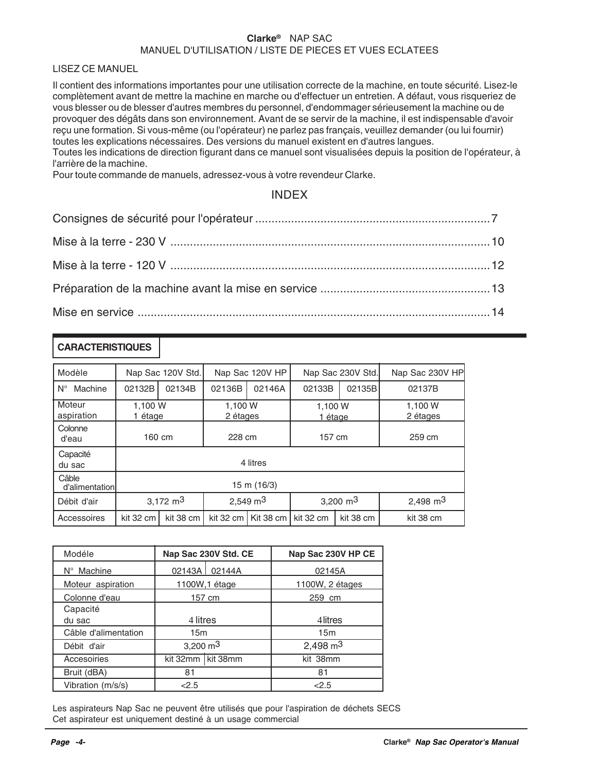#### **Clarke®** NAP SAC MANUEL D'UTILISATION / LISTE DE PIECES ET VUES ECLATEES

LISEZ CE MANUEL

Il contient des informations importantes pour une utilisation correcte de la machine, en toute sécurité. Lisez-le complètement avant de mettre la machine en marche ou d'effectuer un entretien. A défaut, vous risqueriez de vous blesser ou de blesser d'autres membres du personnel, d'endommager sérieusement la machine ou de provoquer des dégâts dans son environnement. Avant de se servir de la machine, il est indispensable d'avoir reçu une formation. Si vous-même (ou l'opérateur) ne parlez pas français, veuillez demander (ou lui fournir) toutes les explications nécessaires. Des versions du manuel existent en d'autres langues. Toutes les indications de direction figurant dans ce manuel sont visualisées depuis la position de l'opérateur, à l'arrière de la machine.

Pour toute commande de manuels, adressez-vous à votre revendeur Clarke.

#### INDEX

#### **CARACTERISTIQUES**

| Modèle                  |                                   | Nap Sac 120V Std. |                     | Nap Sac 120V HP | Nap Sac 230V Std.  |           | Nap Sac 230V HP     |  |
|-------------------------|-----------------------------------|-------------------|---------------------|-----------------|--------------------|-----------|---------------------|--|
| Machine<br>$N^{\circ}$  | 02132B                            | 02134B            | 02136B              | 02146A          | 02133B             | 02135B    | 02137B              |  |
| Moteur<br>aspiration    | 1.100 W<br>1 étage                |                   | 1,100 W<br>2 étages |                 | 1,100 W<br>1 étage |           | 1,100 W<br>2 étages |  |
| Colonne<br>d'eau        |                                   | 160 cm<br>228 cm  |                     |                 | 157 cm             |           | 259 cm              |  |
| Capacité<br>du sac      |                                   | 4 litres          |                     |                 |                    |           |                     |  |
| Câble<br>d'alimentation | 15 m (16/3)                       |                   |                     |                 |                    |           |                     |  |
| Débit d'air             | 3,172 $m3$<br>$2,549 \text{ m}^3$ |                   | 3,200 $m3$          |                 | 2,498 $m3$         |           |                     |  |
| Accessoires             | kit 32 cm                         | kit 38 cm         | kit 32 cm           | Kit 38 cm       | kit 32 cm          | kit 38 cm | kit 38 cm           |  |

| Modéle               | Nap Sac 230V Std. CE |  | Nap Sac 230V HP CE  |  |
|----------------------|----------------------|--|---------------------|--|
| N° Machine           | 02143A 02144A        |  | 02145A              |  |
| Moteur aspiration    | 1100W, 1 étage       |  | 1100W, 2 étages     |  |
| Colonne d'eau        | 157 cm               |  | 259 cm              |  |
| Capacité             |                      |  |                     |  |
| du sac               | 4 litres             |  | 4 litres            |  |
| Câble d'alimentation | 15m                  |  | 15 <sub>m</sub>     |  |
| Débit d'air          | 3,200 $m3$           |  | $2,498 \text{ m}^3$ |  |
| Accesoiries          | kit 32mm kit 38mm    |  | kit 38mm            |  |
| Bruit (dBA)          | 81                   |  | 81                  |  |
| Vibration (m/s/s)    | 2.5                  |  | < 2.5               |  |

Les aspirateurs Nap Sac ne peuvent être utilisés que pour l'aspiration de déchets SECS Cet aspirateur est uniquement destiné à un usage commercial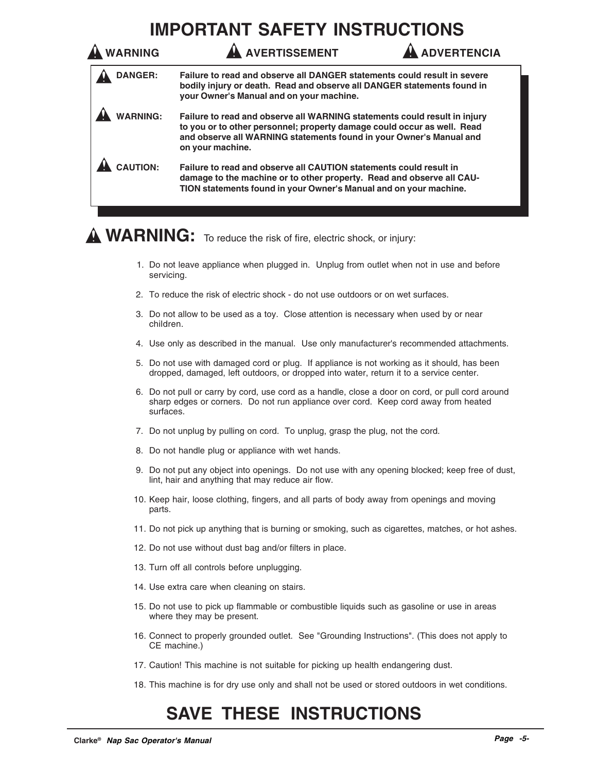## **IMPORTANT SAFETY INSTRUCTIONS**

| <b>WARNING</b>  | <b>AVERTISSEMENT</b>                                                                                                                                                                                                                            | <b>ADVERTENCIA</b> |
|-----------------|-------------------------------------------------------------------------------------------------------------------------------------------------------------------------------------------------------------------------------------------------|--------------------|
| <b>DANGER:</b>  | Failure to read and observe all DANGER statements could result in severe<br>bodily injury or death. Read and observe all DANGER statements found in<br>your Owner's Manual and on your machine.                                                 |                    |
| <b>WARNING:</b> | Failure to read and observe all WARNING statements could result in injury<br>to you or to other personnel; property damage could occur as well. Read<br>and observe all WARNING statements found in your Owner's Manual and<br>on your machine. |                    |
| <b>CAUTION:</b> | Failure to read and observe all CAUTION statements could result in<br>damage to the machine or to other property. Read and observe all CAU-<br>TION statements found in your Owner's Manual and on your machine.                                |                    |

## **WARNING:** To reduce the risk of fire, electric shock, or injury:

- 1. Do not leave appliance when plugged in. Unplug from outlet when not in use and before servicing.
- 2. To reduce the risk of electric shock do not use outdoors or on wet surfaces.
- 3. Do not allow to be used as a toy. Close attention is necessary when used by or near children.
- 4. Use only as described in the manual. Use only manufacturer's recommended attachments.
- 5. Do not use with damaged cord or plug. If appliance is not working as it should, has been dropped, damaged, left outdoors, or dropped into water, return it to a service center.
- 6. Do not pull or carry by cord, use cord as a handle, close a door on cord, or pull cord around sharp edges or corners. Do not run appliance over cord. Keep cord away from heated surfaces.
- 7. Do not unplug by pulling on cord. To unplug, grasp the plug, not the cord.
- 8. Do not handle plug or appliance with wet hands.
- 9. Do not put any object into openings. Do not use with any opening blocked; keep free of dust, lint, hair and anything that may reduce air flow.
- 10. Keep hair, loose clothing, fingers, and all parts of body away from openings and moving parts.
- 11. Do not pick up anything that is burning or smoking, such as cigarettes, matches, or hot ashes.
- 12. Do not use without dust bag and/or filters in place.
- 13. Turn off all controls before unplugging.
- 14. Use extra care when cleaning on stairs.
- 15. Do not use to pick up flammable or combustible liquids such as gasoline or use in areas where they may be present.
- 16. Connect to properly grounded outlet. See "Grounding Instructions". (This does not apply to CE machine.)
- 17. Caution! This machine is not suitable for picking up health endangering dust.
- 18. This machine is for dry use only and shall not be used or stored outdoors in wet conditions.

## **SAVE THESE INSTRUCTIONS**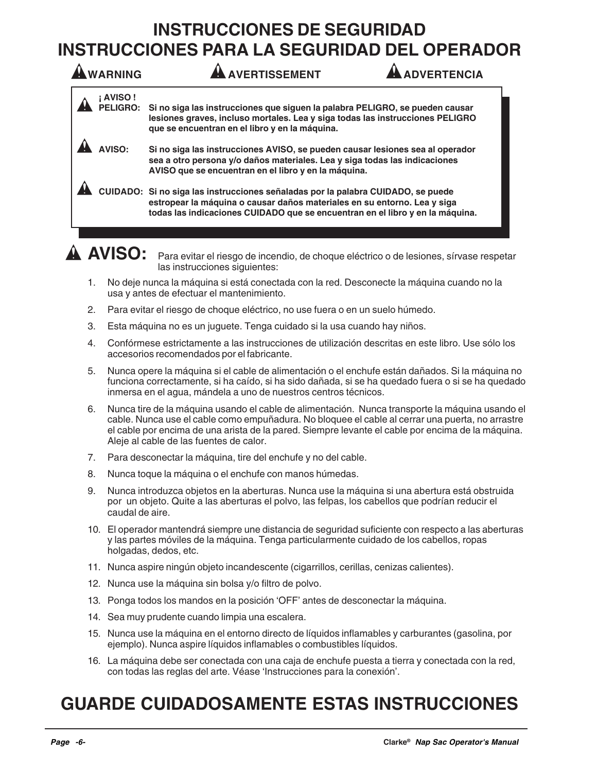## **INSTRUCCIONES DE SEGURIDAD INSTRUCCIONES PARA LA SEGURIDAD DEL OPERADOR**

| WARNING                          | <b>AVERTISSEMENT</b><br><b>DVERTENCIA</b>                                                                                                                                                                                                     |
|----------------------------------|-----------------------------------------------------------------------------------------------------------------------------------------------------------------------------------------------------------------------------------------------|
| <b>AVISO!</b><br><b>PELIGRO:</b> | Si no siga las instrucciones que siguen la palabra PELIGRO, se pueden causar<br>lesiones graves, incluso mortales. Lea y siga todas las instrucciones PELIGRO<br>que se encuentran en el libro y en la máquina.                               |
| <b>AVISO</b>                     | Si no siga las instrucciones AVISO, se pueden causar lesiones sea al operador<br>sea a otro persona y/o daños materiales. Lea y siga todas las indicaciones<br>AVISO que se encuentran en el libro y en la máquina.                           |
|                                  | CUIDADO: Si no siga las instrucciones señaladas por la palabra CUIDADO, se puede<br>estropear la máquina o causar daños materiales en su entorno. Lea y siga<br>todas las indicaciones CUIDADO que se encuentran en el libro y en la máquina. |
|                                  |                                                                                                                                                                                                                                               |

**AVISO:** Para evitar el riesgo de incendio, de choque eléctrico o de lesiones, sírvase respetar las instrucciones siguientes:

- 1. No deje nunca la máquina si está conectada con la red. Desconecte la máquina cuando no la usa y antes de efectuar el mantenimiento.
- 2. Para evitar el riesgo de choque eléctrico, no use fuera o en un suelo húmedo.
- 3. Esta máquina no es un juguete. Tenga cuidado si la usa cuando hay niños.
- 4. Confórmese estrictamente a las instrucciones de utilización descritas en este libro. Use sólo los accesorios recomendados por el fabricante.
- 5. Nunca opere la máquina si el cable de alimentación o el enchufe están dañados. Si la máquina no funciona correctamente, si ha caído, si ha sido dañada, si se ha quedado fuera o si se ha quedado inmersa en el agua, mándela a uno de nuestros centros técnicos.
- 6. Nunca tire de la máquina usando el cable de alimentación. Nunca transporte la máquina usando el cable. Nunca use el cable como empuñadura. No bloquee el cable al cerrar una puerta, no arrastre el cable por encima de una arista de la pared. Siempre levante el cable por encima de la máquina. Aleje al cable de las fuentes de calor.
- 7. Para desconectar la máquina, tire del enchufe y no del cable.
- 8. Nunca toque la máquina o el enchufe con manos húmedas.
- 9. Nunca introduzca objetos en la aberturas. Nunca use la máquina si una abertura está obstruida por un objeto. Quite a las aberturas el polvo, las felpas, los cabellos que podrían reducir el caudal de aire.
- 10. El operador mantendrá siempre une distancia de seguridad suficiente con respecto a las aberturas y las partes móviles de la máquina. Tenga particularmente cuidado de los cabellos, ropas holgadas, dedos, etc.
- 11. Nunca aspire ningún objeto incandescente (cigarrillos, cerillas, cenizas calientes).
- 12. Nunca use la máquina sin bolsa y/o filtro de polvo.
- 13. Ponga todos los mandos en la posición 'OFF' antes de desconectar la máquina.
- 14. Sea muy prudente cuando limpia una escalera.
- 15. Nunca use la máquina en el entorno directo de líquidos inflamables y carburantes (gasolina, por ejemplo). Nunca aspire líquidos inflamables o combustibles líquidos.
- 16. La máquina debe ser conectada con una caja de enchufe puesta a tierra y conectada con la red, con todas las reglas del arte. Véase 'Instrucciones para la conexión'.

## **GUARDE CUIDADOSAMENTE ESTAS INSTRUCCIONES**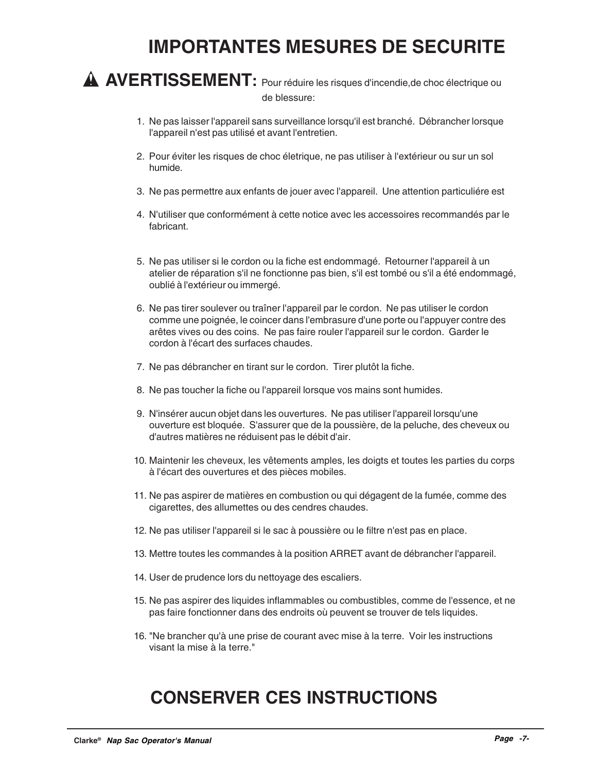## **IMPORTANTES MESURES DE SECURITE**

**AVERTISSEMENT:** Pour réduire les risques d'incendie,de choc électrique ou de blessure:

- 1. Ne pas laisser l'appareil sans surveillance lorsqu'il est branché. Débrancher lorsque l'appareil n'est pas utilisé et avant l'entretien.
- 2. Pour éviter les risques de choc életrique, ne pas utiliser à l'extérieur ou sur un sol humide.
- 3. Ne pas permettre aux enfants de jouer avec l'appareil. Une attention particuliére est
- 4. N'utiliser que conformément à cette notice avec les accessoires recommandés par le fabricant.
- 5. Ne pas utiliser si le cordon ou la fiche est endommagé. Retourner l'appareil à un atelier de réparation s'il ne fonctionne pas bien, s'il est tombé ou s'il a été endommagé, oublié à l'extérieur ou immergé.
- 6. Ne pas tirer soulever ou traîner l'appareil par le cordon. Ne pas utiliser le cordon comme une poignée, le coincer dans l'embrasure d'une porte ou l'appuyer contre des arêtes vives ou des coins. Ne pas faire rouler l'appareil sur le cordon. Garder le cordon à l'écart des surfaces chaudes.
- 7. Ne pas débrancher en tirant sur le cordon. Tirer plutôt la fiche.
- 8. Ne pas toucher la fiche ou l'appareil lorsque vos mains sont humides.
- 9. N'insérer aucun objet dans les ouvertures. Ne pas utiliser l'appareil lorsqu'une ouverture est bloquée. S'assurer que de la poussière, de la peluche, des cheveux ou d'autres matières ne réduisent pas le débit d'air.
- 10. Maintenir les cheveux, les vêtements amples, les doigts et toutes les parties du corps à l'écart des ouvertures et des pièces mobiles.
- 11. Ne pas aspirer de matières en combustion ou qui dégagent de la fumée, comme des cigarettes, des allumettes ou des cendres chaudes.
- 12. Ne pas utiliser l'appareil si le sac à poussière ou le filtre n'est pas en place.
- 13. Mettre toutes les commandes à la position ARRET avant de débrancher l'appareil.
- 14. User de prudence lors du nettoyage des escaliers.
- 15. Ne pas aspirer des liquides inflammables ou combustibles, comme de l'essence, et ne pas faire fonctionner dans des endroits où peuvent se trouver de tels liquides.
- 16. "Ne brancher qu'à une prise de courant avec mise à la terre. Voir les instructions visant la mise à la terre."

## **CONSERVER CES INSTRUCTIONS**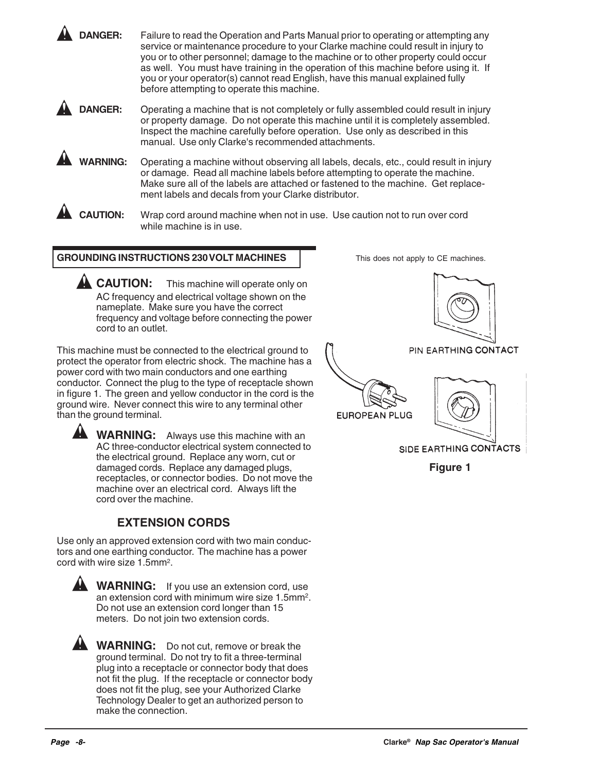**DANGER:** Failure to read the Operation and Parts Manual prior to operating or attempting any service or maintenance procedure to your Clarke machine could result in injury to you or to other personnel; damage to the machine or to other property could occur as well. You must have training in the operation of this machine before using it. If you or your operator(s) cannot read English, have this manual explained fully before attempting to operate this machine.

**DANGER:** Operating a machine that is not completely or fully assembled could result in injury or property damage. Do not operate this machine until it is completely assembled. Inspect the machine carefully before operation. Use only as described in this manual. Use only Clarke's recommended attachments.

**WARNING:** Operating a machine without observing all labels, decals, etc., could result in injury or damage. Read all machine labels before attempting to operate the machine. Make sure all of the labels are attached or fastened to the machine. Get replacement labels and decals from your Clarke distributor.

**CAUTION:** Wrap cord around machine when not in use. Use caution not to run over cord while machine is in use.

#### **GROUNDING INSTRUCTIONS 230 VOLT MACHINES**

**CAUTION:** This machine will operate only on AC frequency and electrical voltage shown on the nameplate. Make sure you have the correct frequency and voltage before connecting the power cord to an outlet.

This machine must be connected to the electrical ground to protect the operator from electric shock. The machine has a power cord with two main conductors and one earthing conductor. Connect the plug to the type of receptacle shown in figure 1. The green and yellow conductor in the cord is the ground wire. Never connect this wire to any terminal other than the ground terminal.

**WARNING:** Always use this machine with an AC three-conductor electrical system connected to the electrical ground. Replace any worn, cut or damaged cords. Replace any damaged plugs, receptacles, or connector bodies. Do not move the machine over an electrical cord. Always lift the cord over the machine.

### **EXTENSION CORDS**

Use only an approved extension cord with two main conductors and one earthing conductor. The machine has a power cord with wire size 1.5mm2.



**WARNING:** If you use an extension cord, use an extension cord with minimum wire size 1.5mm2. Do not use an extension cord longer than 15 meters. Do not join two extension cords.

**WARNING:** Do not cut, remove or break the ground terminal. Do not try to fit a three-terminal plug into a receptacle or connector body that does not fit the plug. If the receptacle or connector body does not fit the plug, see your Authorized Clarke Technology Dealer to get an authorized person to make the connection.

This does not apply to CE machines.



PIN EARTHING CONTACT





SIDE EARTHING CONTACTS

**Figure 1**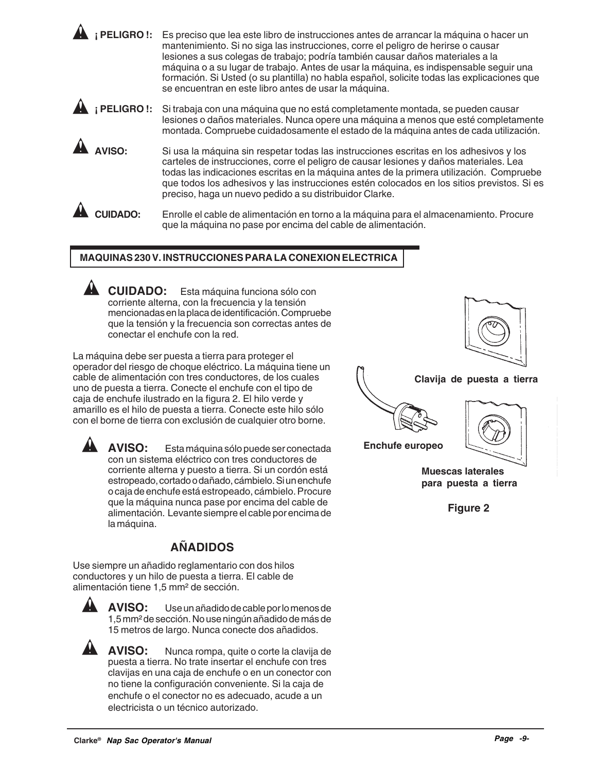**¡ PELIGRO !:** Es preciso que lea este libro de instrucciones antes de arrancar la máquina o hacer un mantenimiento. Si no siga las instrucciones, corre el peligro de herirse o causar lesiones a sus colegas de trabajo; podría también causar daños materiales a la máquina o a su lugar de trabajo. Antes de usar la máquina, es indispensable seguir una formación. Si Usted (o su plantilla) no habla español, solicite todas las explicaciones que se encuentran en este libro antes de usar la máquina.

**¡ PELIGRO !:** Si trabaja con una máquina que no está completamente montada, se pueden causar lesiones o daños materiales. Nunca opere una máquina a menos que esté completamente montada. Compruebe cuidadosamente el estado de la máquina antes de cada utilización.

**AVISO:** Si usa la máquina sin respetar todas las instrucciones escritas en los adhesivos y los carteles de instrucciones, corre el peligro de causar lesiones y daños materiales. Lea todas las indicaciones escritas en la máquina antes de la primera utilización. Compruebe que todos los adhesivos y las instrucciones estén colocados en los sitios previstos. Si es preciso, haga un nuevo pedido a su distribuidor Clarke.

**CUIDADO:** Enrolle el cable de alimentación en torno a la máquina para el almacenamiento. Procure que la máquina no pase por encima del cable de alimentación.

#### **MAQUINAS 230 V. INSTRUCCIONES PARA LA CONEXION ELECTRICA**

**CUIDADO:** Esta máquina funciona sólo con corriente alterna, con la frecuencia y la tensión mencionadas en la placa de identificación. Compruebe que la tensión y la frecuencia son correctas antes de conectar el enchufe con la red.

La máquina debe ser puesta a tierra para proteger el operador del riesgo de choque eléctrico. La máquina tiene un cable de alimentación con tres conductores, de los cuales uno de puesta a tierra. Conecte el enchufe con el tipo de caja de enchufe ilustrado en la figura 2. El hilo verde y amarillo es el hilo de puesta a tierra. Conecte este hilo sólo con el borne de tierra con exclusión de cualquier otro borne.

**AVISO:** Esta máquina sólo puede ser conectada con un sistema eléctrico con tres conductores de corriente alterna y puesto a tierra. Si un cordón está estropeado, cortado o dañado, cámbielo. Si un enchufe o caja de enchufe está estropeado, cámbielo. Procure que la máquina nunca pase por encima del cable de alimentación. Levante siempre el cable por encima de

la máquina.

## **AÑADIDOS**

Use siempre un añadido reglamentario con dos hilos conductores y un hilo de puesta a tierra. El cable de alimentación tiene 1,5 mm² de sección.



**AVISO:** Use un añadido de cable por lo menos de 1,5 mm² de sección. No use ningún añadido de más de 15 metros de largo. Nunca conecte dos añadidos.

**AVISO:** Nunca rompa, quite o corte la clavija de puesta a tierra. No trate insertar el enchufe con tres clavijas en una caja de enchufe o en un conector con no tiene la configuración conveniente. Si la caja de enchufe o el conector no es adecuado, acude a un electricista o un técnico autorizado.



#### **Clavija de puesta a tierra**





**Muescas laterales para puesta a tierra**

**Figure 2**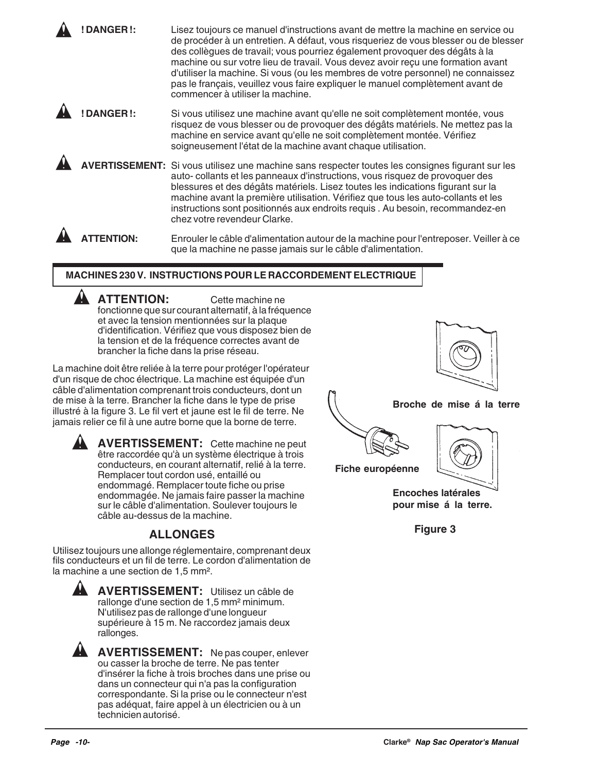**! DANGER !:** Lisez toujours ce manuel d'instructions avant de mettre la machine en service ou de procéder à un entretien. A défaut, vous risqueriez de vous blesser ou de blesser des collègues de travail; vous pourriez également provoquer des dégâts à la machine ou sur votre lieu de travail. Vous devez avoir reçu une formation avant d'utiliser la machine. Si vous (ou les membres de votre personnel) ne connaissez pas le français, veuillez vous faire expliquer le manuel complètement avant de commencer à utiliser la machine.

**! DANGER !:** Si vous utilisez une machine avant qu'elle ne soit complètement montée, vous risquez de vous blesser ou de provoquer des dégâts matériels. Ne mettez pas la machine en service avant qu'elle ne soit complètement montée. Vérifiez soigneusement l'état de la machine avant chaque utilisation.

**AVERTISSEMENT:** Si vous utilisez une machine sans respecter toutes les consignes figurant sur les auto- collants et les panneaux d'instructions, vous risquez de provoquer des blessures et des dégâts matériels. Lisez toutes les indications figurant sur la machine avant la première utilisation. Vérifiez que tous les auto-collants et les instructions sont positionnés aux endroits requis . Au besoin, recommandez-en chez votre revendeur Clarke.

**ATTENTION:** Enrouler le câble d'alimentation autour de la machine pour l'entreposer. Veiller à ce que la machine ne passe jamais sur le câble d'alimentation.

#### **MACHINES 230 V. INSTRUCTIONS POUR LE RACCORDEMENT ELECTRIQUE**

**ATTENTION:** Cette machine ne fonctionne que sur courant alternatif, à la fréquence et avec la tension mentionnées sur la plaque d'identification. Vérifiez que vous disposez bien de la tension et de la fréquence correctes avant de brancher la fiche dans la prise réseau.

La machine doit être reliée à la terre pour protéger l'opérateur d'un risque de choc électrique. La machine est équipée d'un câble d'alimentation comprenant trois conducteurs, dont un de mise à la terre. Brancher la fiche dans le type de prise illustré à la figure 3. Le fil vert et jaune est le fil de terre. Ne jamais relier ce fil à une autre borne que la borne de terre.

**AVERTISSEMENT:** Cette machine ne peut être raccordée qu'à un système électrique à trois conducteurs, en courant alternatif, relié à la terre. Remplacer tout cordon usé, entaillé ou endommagé. Remplacer toute fiche ou prise endommagée. Ne jamais faire passer la machine sur le câble d'alimentation. Soulever toujours le câble au-dessus de la machine.

### **ALLONGES**

Utilisez toujours une allonge réglementaire, comprenant deux fils conducteurs et un fil de terre. Le cordon d'alimentation de la machine a une section de 1,5 mm².



 $\blacktriangle$ 

**AVERTISSEMENT:** Utilisez un câble de rallonge d'une section de 1,5 mm² minimum. N'utilisez pas de rallonge d'une longueur supérieure à 15 m. Ne raccordez jamais deux rallonges.

**AVERTISSEMENT:** Ne pas couper, enlever ou casser la broche de terre. Ne pas tenter d'insérer la fiche à trois broches dans une prise ou dans un connecteur qui n'a pas la configuration correspondante. Si la prise ou le connecteur n'est pas adéquat, faire appel à un électricien ou à un technicien autorisé.



**Figure 3**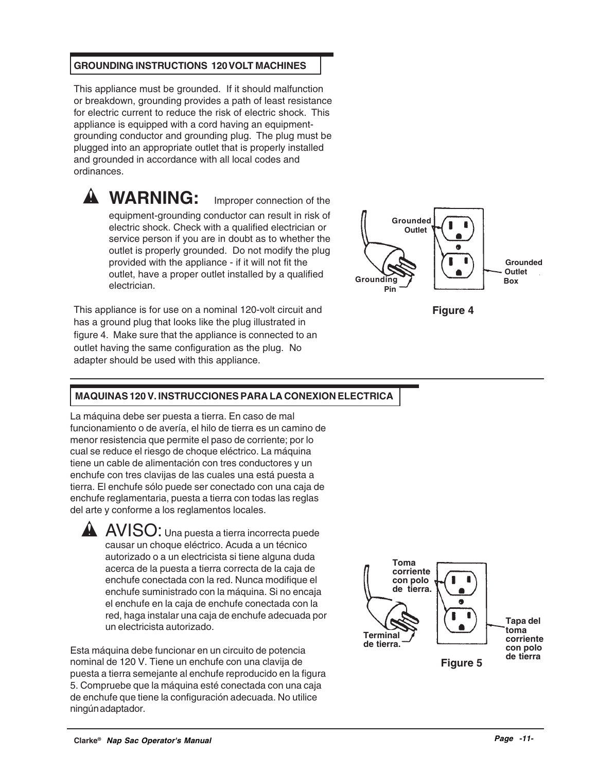#### **GROUNDING INSTRUCTIONS 120 VOLT MACHINES**

This appliance must be grounded. If it should malfunction or breakdown, grounding provides a path of least resistance for electric current to reduce the risk of electric shock. This appliance is equipped with a cord having an equipmentgrounding conductor and grounding plug. The plug must be plugged into an appropriate outlet that is properly installed and grounded in accordance with all local codes and ordinances.

**WARNING:** Improper connection of the equipment-grounding conductor can result in risk of electric shock. Check with a qualified electrician or service person if you are in doubt as to whether the outlet is properly grounded. Do not modify the plug provided with the appliance - if it will not fit the

outlet, have a proper outlet installed by a qualified

This appliance is for use on a nominal 120-volt circuit and has a ground plug that looks like the plug illustrated in figure 4. Make sure that the appliance is connected to an outlet having the same configuration as the plug. No adapter should be used with this appliance.

electrician.





#### **MAQUINAS 120 V. INSTRUCCIONES PARA LA CONEXION ELECTRICA**

La máquina debe ser puesta a tierra. En caso de mal funcionamiento o de avería, el hilo de tierra es un camino de menor resistencia que permite el paso de corriente; por lo cual se reduce el riesgo de choque eléctrico. La máquina tiene un cable de alimentación con tres conductores y un enchufe con tres clavijas de las cuales una está puesta a tierra. El enchufe sólo puede ser conectado con una caja de enchufe reglamentaria, puesta a tierra con todas las reglas del arte y conforme a los reglamentos locales.

**AVISO:** Una puesta a tierra incorrecta puede causar un choque eléctrico. Acuda a un técnico autorizado o a un electricista si tiene alguna duda acerca de la puesta a tierra correcta de la caja de enchufe conectada con la red. Nunca modifique el enchufe suministrado con la máquina. Si no encaja el enchufe en la caja de enchufe conectada con la red, haga instalar una caja de enchufe adecuada por un electricista autorizado.

Esta máquina debe funcionar en un circuito de potencia nominal de 120 V. Tiene un enchufe con una clavija de puesta a tierra semejante al enchufe reproducido en la figura 5. Compruebe que la máquina esté conectada con una caja de enchufe que tiene la configuración adecuada. No utilice ningún adaptador.

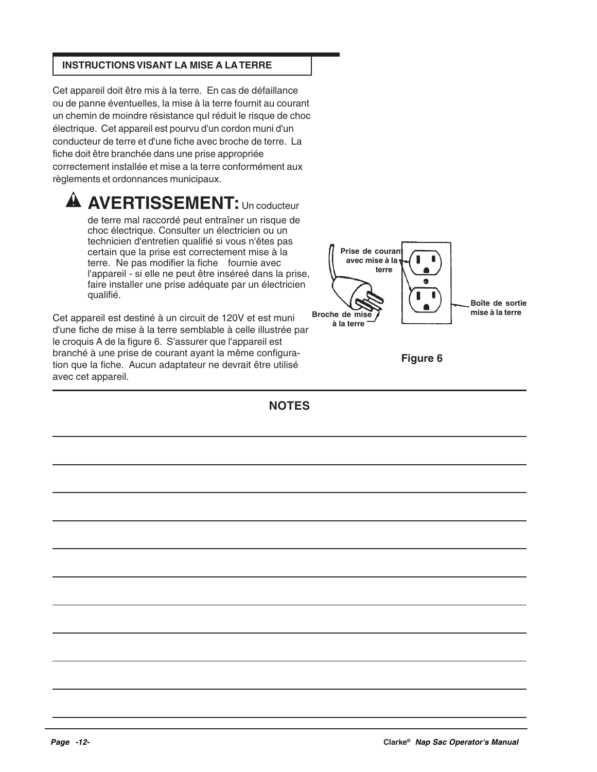#### **INSTRUCTIONS VISANT LA MISE A LA TERRE**

Cet appareil doit être mis à la terre. En cas de défaillance ou de panne éventuelles, la mise à la terre fournit au courant un chemin de moindre résistance quI réduit le risque de choc électrique. Cet appareil est pourvu d'un cordon muni d'un conducteur de terre et d'une fiche avec broche de terre. La fiche doit être branchée dans une prise appropriée correctement installée et mise a la terre conformément aux règlements et ordonnances municipaux.

## **A AVERTISSEMENT:** Un coducteur

de terre mal raccordé peut entraîner un risque de choc électrique. Consulter un électricien ou un technicien d'entretien qualifié si vous n'êtes pas certain que la prise est correctement mise à la terre. Ne pas modifier la fiche fournie avec l'appareil - si elle ne peut être inséreé dans la prise, faire installer une prise adéquate par un électricien qualifié.

Cet appareil est destiné à un circuit de 120V et est muni d'une fiche de mise à la terre semblable à celle illustrée par le croquis A de la figure 6. S'assurer que l'appareil est branché à une prise de courant ayant la même configuration que la fiche. Aucun adaptateur ne devrait être utilisé avec cet appareil.



**Figure 6**

**NOTES**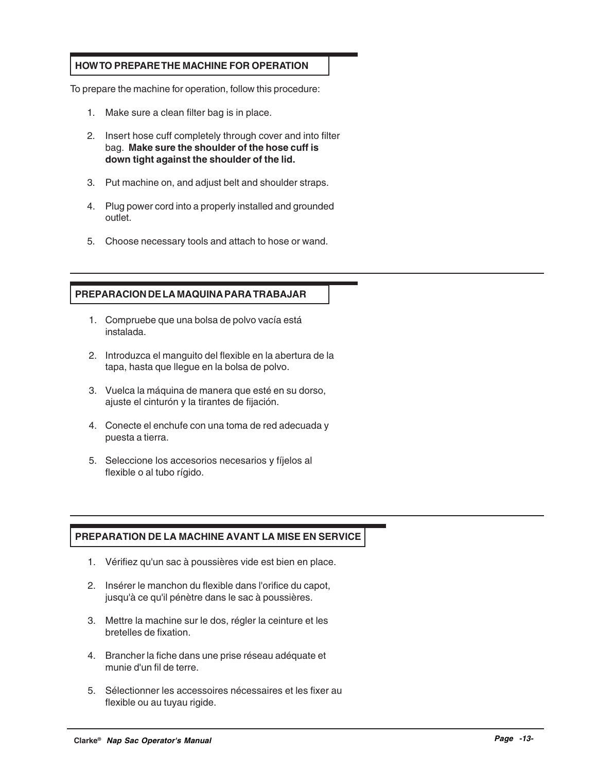#### **HOW TO PREPARE THE MACHINE FOR OPERATION**

To prepare the machine for operation, follow this procedure:

- 1. Make sure a clean filter bag is in place.
- 2. Insert hose cuff completely through cover and into filter bag. **Make sure the shoulder of the hose cuff is down tight against the shoulder of the lid.**
- 3. Put machine on, and adjust belt and shoulder straps.
- 4. Plug power cord into a properly installed and grounded outlet.
- 5. Choose necessary tools and attach to hose or wand.

#### **PREPARACION DE LA MAQUINA PARA TRABAJAR**

- 1. Compruebe que una bolsa de polvo vacía está instalada.
- 2. Introduzca el manguito del flexible en la abertura de la tapa, hasta que llegue en la bolsa de polvo.
- 3. Vuelca la máquina de manera que esté en su dorso, ajuste el cinturón y la tirantes de fijación.
- 4. Conecte el enchufe con una toma de red adecuada y puesta a tierra.
- 5. Seleccione los accesorios necesarios y fíjelos al flexible o al tubo rígido.

#### **PREPARATION DE LA MACHINE AVANT LA MISE EN SERVICE**

- 1. Vérifiez qu'un sac à poussières vide est bien en place.
- 2. Insérer le manchon du flexible dans l'orifice du capot, jusqu'à ce qu'il pénètre dans le sac à poussières.
- 3. Mettre la machine sur le dos, régler la ceinture et les bretelles de fixation.
- 4. Brancher la fiche dans une prise réseau adéquate et munie d'un fil de terre.
- 5. Sélectionner les accessoires nécessaires et les fixer au flexible ou au tuyau rigide.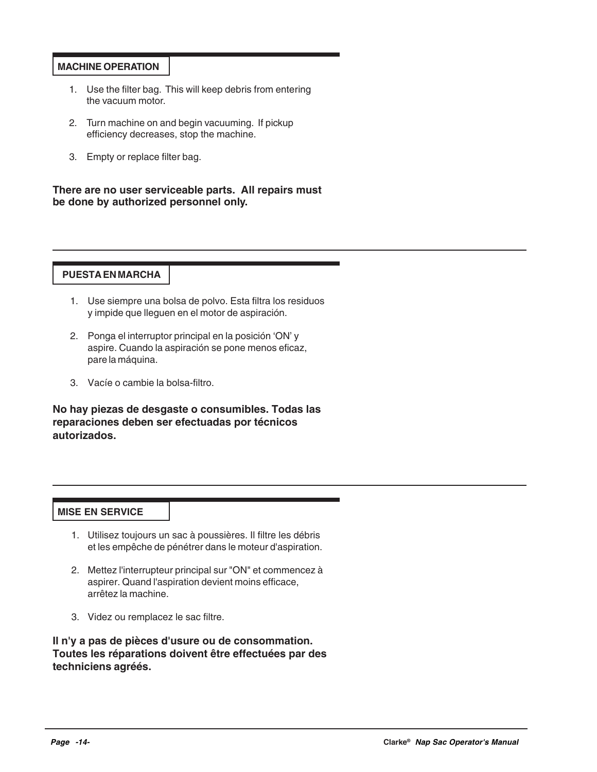#### **MACHINE OPERATION**

- 1. Use the filter bag. This will keep debris from entering the vacuum motor.
- 2. Turn machine on and begin vacuuming. If pickup efficiency decreases, stop the machine.
- 3. Empty or replace filter bag.

**There are no user serviceable parts. All repairs must be done by authorized personnel only.**

#### **PUESTA EN MARCHA**

- 1. Use siempre una bolsa de polvo. Esta filtra los residuos y impide que lleguen en el motor de aspiración.
- 2. Ponga el interruptor principal en la posición 'ON' y aspire. Cuando la aspiración se pone menos eficaz, pare la máquina.
- 3. Vacíe o cambie la bolsa-filtro.

**No hay piezas de desgaste o consumibles. Todas las reparaciones deben ser efectuadas por técnicos autorizados.**

#### **MISE EN SERVICE**

- 1. Utilisez toujours un sac à poussières. Il filtre les débris et les empêche de pénétrer dans le moteur d'aspiration.
- 2. Mettez l'interrupteur principal sur "ON" et commencez à aspirer. Quand l'aspiration devient moins efficace, arrêtez la machine.
- 3. Videz ou remplacez le sac filtre.

**Il n'y a pas de pièces d'usure ou de consommation. Toutes les réparations doivent être effectuées par des techniciens agréés.**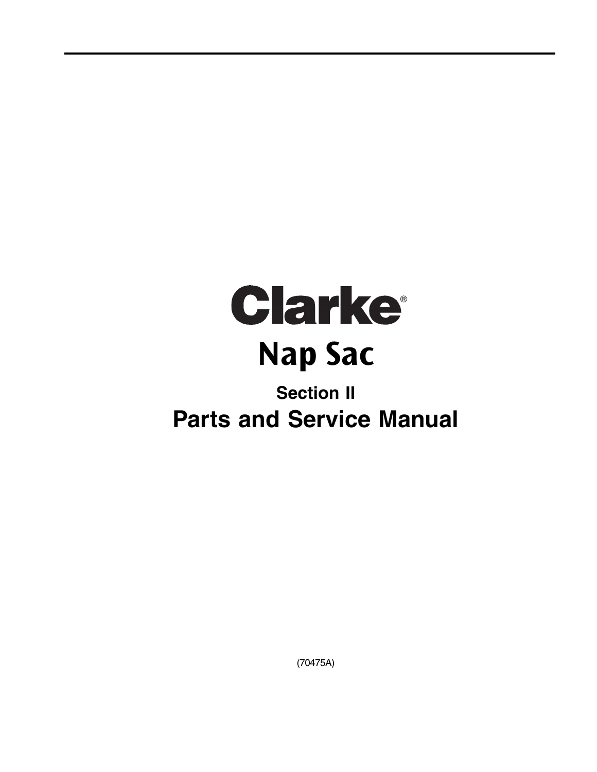

# **Section II Parts and Service Manual**

(70475A)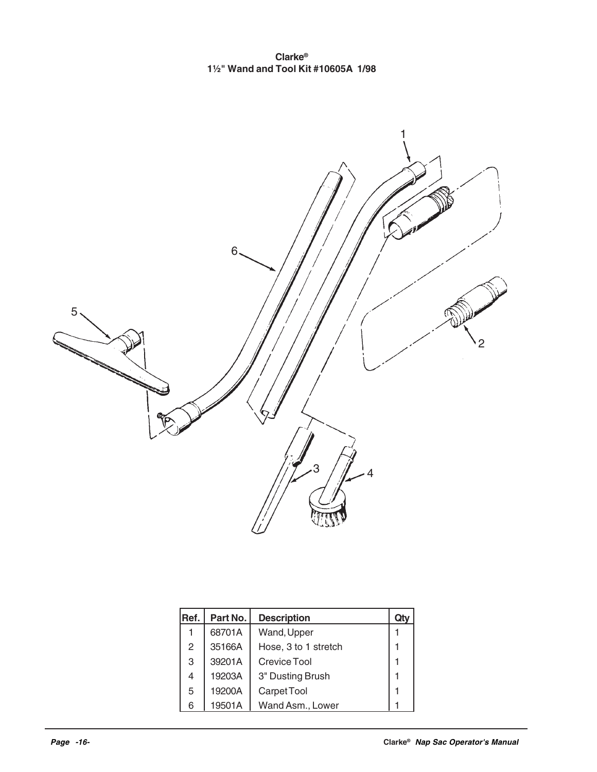**Clarke® 1½" Wand and Tool Kit #10605A 1/98**



| Ref. | Part No. | <b>Description</b>   | Qτ |
|------|----------|----------------------|----|
|      | 68701A   | Wand, Upper          |    |
| 2    | 35166A   | Hose, 3 to 1 stretch |    |
| 3    | 39201A   | Crevice Tool         |    |
| 4    | 19203A   | 3" Dusting Brush     |    |
| 5    | 19200A   | Carpet Tool          |    |
| 6    | 19501A   | Wand Asm., Lower     |    |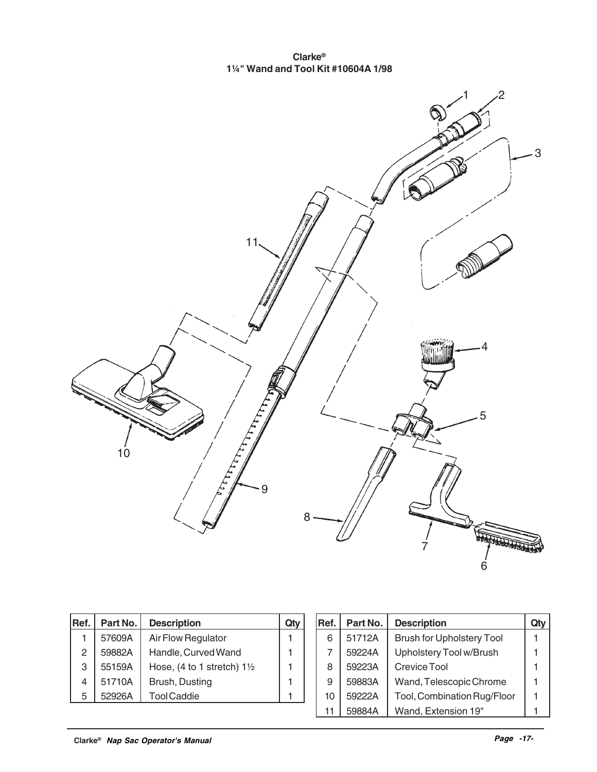**Clarke® 1¼" Wand and Tool Kit #10604A 1/98**



| IRef. | Part No. | <b>Description</b>                    |  |
|-------|----------|---------------------------------------|--|
|       | 57609A   | Air Flow Regulator                    |  |
| 2     | 59882A   | Handle, Curved Wand                   |  |
| 3     | 55159A   | Hose, (4 to 1 stretch) $1\frac{1}{2}$ |  |
| 4     | 51710A   | Brush, Dusting                        |  |
| 5     | 52926A   | <b>Tool Caddie</b>                    |  |

|  | Ref. | Part No. | <b>Description</b>               |  |
|--|------|----------|----------------------------------|--|
|  | 6    | 51712A   | <b>Brush for Upholstery Tool</b> |  |
|  |      | 59224A   | Upholstery Tool w/Brush          |  |
|  | 8    | 59223A   | Crevice Tool                     |  |
|  | 9    | 59883A   | Wand, Telescopic Chrome          |  |
|  | 10   | 59222A   | Tool, Combination Rug/Floor      |  |
|  |      | 59884A   | Wand, Extension 19"              |  |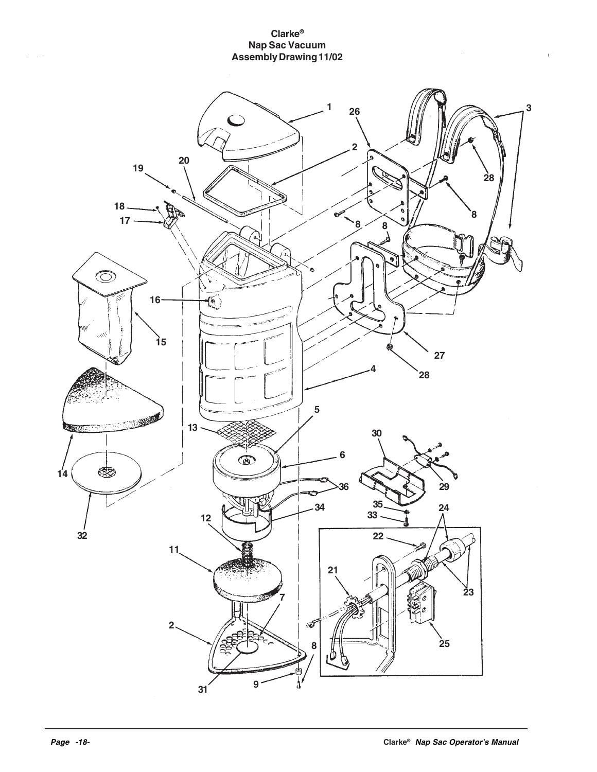#### **Clarke® Nap Sac Vacuum Assembly Drawing 11/02**



 $\overline{1}$ 

 $\tau_{\rm c} = \tau_{\rm c}$  ,  $\sigma$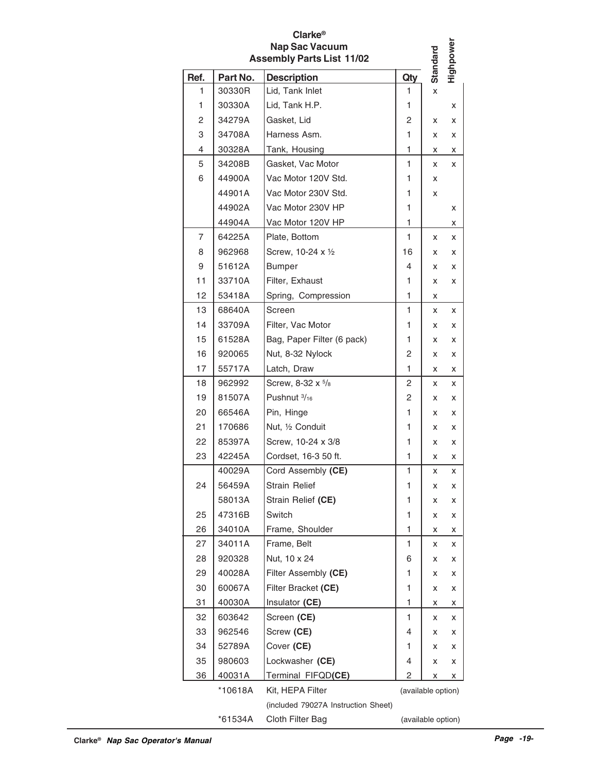| <b>Clarke</b> <sup>®</sup><br><b>Nap Sac Vacuum</b><br><b>Assembly Parts List 11/02</b> |          |                                     |                    |          |           |  |  |
|-----------------------------------------------------------------------------------------|----------|-------------------------------------|--------------------|----------|-----------|--|--|
| Ref.                                                                                    | Part No. | <b>Description</b>                  | Qty                | Standard | Highpower |  |  |
| 1                                                                                       | 30330R   | Lid, Tank Inlet                     | 1                  | X        |           |  |  |
| 1                                                                                       | 30330A   | Lid, Tank H.P.                      | 1                  |          | X         |  |  |
| 2                                                                                       | 34279A   | Gasket, Lid                         | 2                  | x        | x         |  |  |
| 3                                                                                       | 34708A   | Harness Asm.                        | 1                  | x        | x         |  |  |
| 4                                                                                       | 30328A   | Tank, Housing                       | 1                  | x        | x         |  |  |
| 5                                                                                       | 34208B   | Gasket, Vac Motor                   | 1                  | x        | x         |  |  |
| 6                                                                                       | 44900A   | Vac Motor 120V Std.                 | 1                  | x        |           |  |  |
|                                                                                         | 44901A   | Vac Motor 230V Std.                 | 1                  | x        |           |  |  |
|                                                                                         | 44902A   | Vac Motor 230V HP                   | 1                  |          | x         |  |  |
|                                                                                         | 44904A   | Vac Motor 120V HP                   | 1                  |          | x         |  |  |
| 7                                                                                       | 64225A   | Plate, Bottom                       | 1                  | x        | x         |  |  |
| 8                                                                                       | 962968   | Screw, 10-24 x 1/2                  | 16                 | x        | x         |  |  |
| 9                                                                                       | 51612A   | <b>Bumper</b>                       | 4                  | x        | x         |  |  |
| 11                                                                                      | 33710A   | Filter, Exhaust                     | 1                  | x        | x         |  |  |
| 12                                                                                      | 53418A   | Spring, Compression                 | 1                  | x        |           |  |  |
| 13                                                                                      | 68640A   | Screen                              | 1                  | x        | x         |  |  |
| 14                                                                                      | 33709A   | Filter, Vac Motor                   | 1                  | x        | x         |  |  |
| 15                                                                                      | 61528A   | Bag, Paper Filter (6 pack)          | 1                  | x        | x         |  |  |
| 16                                                                                      | 920065   | Nut, 8-32 Nylock                    | 2                  | x        | x         |  |  |
| 17                                                                                      | 55717A   | Latch, Draw                         | 1                  | x        | x         |  |  |
| 18                                                                                      | 962992   | Screw, 8-32 x 5/8                   | 2                  | x        | x         |  |  |
| 19                                                                                      | 81507A   | Pushnut 3/16                        | 2                  | x        | x         |  |  |
| 20                                                                                      | 66546A   | Pin, Hinge                          | 1                  | x        | x         |  |  |
| 21                                                                                      | 170686   | Nut, 1/2 Conduit                    | 1                  | x        | x         |  |  |
| 22                                                                                      | 85397A   | Screw, 10-24 x 3/8                  | 1                  | x        | x         |  |  |
| 23                                                                                      | 42245A   | Cordset, 16-3 50 ft.                | 1                  | x        | x         |  |  |
|                                                                                         | 40029A   | Cord Assembly (CE)                  | 1                  | x        | Χ         |  |  |
| 24                                                                                      | 56459A   | <b>Strain Relief</b>                | 1                  | x        | x         |  |  |
|                                                                                         | 58013A   | Strain Relief (CE)                  | 1                  | х        | x         |  |  |
| 25                                                                                      | 47316B   | Switch                              | 1                  | x        | x         |  |  |
| 26                                                                                      | 34010A   | Frame, Shoulder                     | 1                  | х        | x         |  |  |
| 27                                                                                      | 34011A   | Frame, Belt                         | 1                  | x        | x         |  |  |
| 28                                                                                      | 920328   | Nut, 10 x 24                        | 6                  | х        | x         |  |  |
| 29                                                                                      | 40028A   | Filter Assembly (CE)                | 1                  | x        | x         |  |  |
| 30                                                                                      | 60067A   | Filter Bracket (CE)                 | 1                  | x        | x         |  |  |
| 31                                                                                      | 40030A   | Insulator (CE)                      | 1                  | x        | x         |  |  |
| 32                                                                                      | 603642   | Screen (CE)                         | 1                  | x        | x         |  |  |
| 33                                                                                      | 962546   | Screw (CE)                          | 4                  | x        | x         |  |  |
| 34                                                                                      | 52789A   | Cover (CE)                          | 1                  | x        | x         |  |  |
| 35                                                                                      | 980603   | Lockwasher (CE)                     | 4                  | x        | x         |  |  |
| 36                                                                                      | 40031A   | Terminal FIFQD(CE)                  | 2                  | x        | x         |  |  |
|                                                                                         | *10618A  | Kit, HEPA Filter                    | (available option) |          |           |  |  |
|                                                                                         |          | (included 79027A Instruction Sheet) |                    |          |           |  |  |
|                                                                                         | *61534A  | Cloth Filter Bag                    | (available option) |          |           |  |  |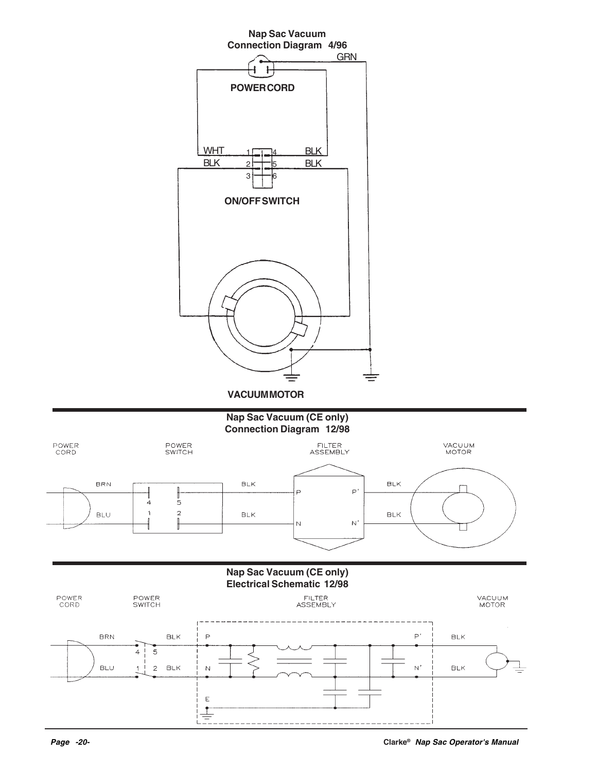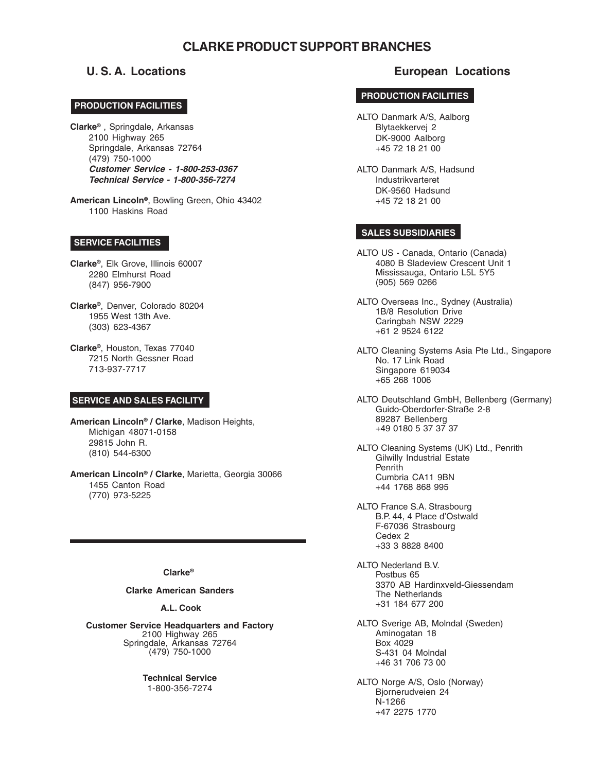#### **CLARKE PRODUCT SUPPORT BRANCHES**

#### **CORPO PRODUCTION FACILITIES**

**Clarke®** , Springdale, Arkansas 2100 Highway 265 Springdale, Arkansas 72764 (479) 750-1000 **Customer Service - 1-800-253-0367 Technical Service - 1-800-356-7274**

**American Lincoln®**, Bowling Green, Ohio 43402 1100 Haskins Road

#### **SERVICE FACILITIES**

- **Clarke®**, Elk Grove, Illinois 60007 2280 Elmhurst Road (847) 956-7900
- **Clarke®**, Denver, Colorado 80204 1955 West 13th Ave. (303) 623-4367
- **Clarke®**, Houston, Texas 77040 7215 North Gessner Road 713-937-7717

#### **SERVICE AND SALES FACILITY**

**American Lincoln® / Clarke**, Madison Heights, Michigan 48071-0158 29815 John R. (810) 544-6300

**American Lincoln® / Clarke**, Marietta, Georgia 30066 1455 Canton Road (770) 973-5225

#### **Clarke®**

#### **Clarke American Sanders**

#### **A.L. Cook**

**Customer Service Headquarters and Factory** 2100 Highway 265 Springdale, Arkansas 72764 (479) 750-1000

> **Technical Service** 1-800-356-7274

#### **U. S. A. Locations European Locations**

#### **PRODUCTION FACILITIES**

- ALTO Danmark A/S, Aalborg Blytaekkervej 2 DK-9000 Aalborg +45 72 18 21 00
- ALTO Danmark A/S, Hadsund Industrikvarteret DK-9560 Hadsund +45 72 18 21 00

#### **SALES SUBSIDIARIES**

- ALTO US Canada, Ontario (Canada) 4080 B Sladeview Crescent Unit 1 Mississauga, Ontario L5L 5Y5 (905) 569 0266
- ALTO Overseas Inc., Sydney (Australia) 1B/8 Resolution Drive Caringbah NSW 2229 +61 2 9524 6122
- ALTO Cleaning Systems Asia Pte Ltd., Singapore No. 17 Link Road Singapore 619034 +65 268 1006
- ALTO Deutschland GmbH, Bellenberg (Germany) Guido-Oberdorfer-Straße 2-8 89287 Bellenberg +49 0180 5 37 37 37
- ALTO Cleaning Systems (UK) Ltd., Penrith Gilwilly Industrial Estate Penrith Cumbria CA11 9BN +44 1768 868 995
- ALTO France S.A. Strasbourg B.P. 44, 4 Place d'Ostwald F-67036 Strasbourg Cedex 2 +33 3 8828 8400
- ALTO Nederland B.V. Postbus 65 3370 AB Hardinxveld-Giessendam The Netherlands +31 184 677 200
- ALTO Sverige AB, Molndal (Sweden) Aminogatan 18 Box 4029 S-431 04 Molndal +46 31 706 73 00
- ALTO Norge A/S, Oslo (Norway) Bjornerudveien 24 N-1266 +47 2275 1770